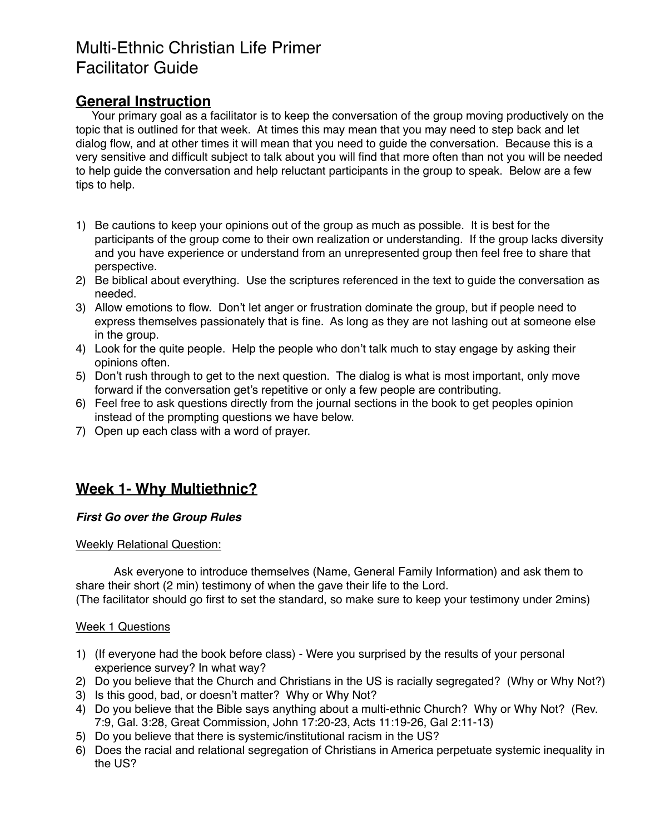# Multi-Ethnic Christian Life Primer Facilitator Guide

### **General Instruction**

 Your primary goal as a facilitator is to keep the conversation of the group moving productively on the topic that is outlined for that week. At times this may mean that you may need to step back and let dialog flow, and at other times it will mean that you need to guide the conversation. Because this is a very sensitive and difficult subject to talk about you will find that more often than not you will be needed to help guide the conversation and help reluctant participants in the group to speak. Below are a few tips to help.

- 1) Be cautions to keep your opinions out of the group as much as possible. It is best for the participants of the group come to their own realization or understanding. If the group lacks diversity and you have experience or understand from an unrepresented group then feel free to share that perspective.
- 2) Be biblical about everything. Use the scriptures referenced in the text to guide the conversation as needed.
- 3) Allow emotions to flow. Don't let anger or frustration dominate the group, but if people need to express themselves passionately that is fine. As long as they are not lashing out at someone else in the group.
- 4) Look for the quite people. Help the people who don't talk much to stay engage by asking their opinions often.
- 5) Don't rush through to get to the next question. The dialog is what is most important, only move forward if the conversation get's repetitive or only a few people are contributing.
- 6) Feel free to ask questions directly from the journal sections in the book to get peoples opinion instead of the prompting questions we have below.
- 7) Open up each class with a word of prayer.

## **Week 1- Why Multiethnic?**

#### *First Go over the Group Rules*

#### Weekly Relational Question:

Ask everyone to introduce themselves (Name, General Family Information) and ask them to share their short (2 min) testimony of when the gave their life to the Lord.

(The facilitator should go first to set the standard, so make sure to keep your testimony under 2mins)

#### Week 1 Questions

- 1) (If everyone had the book before class) Were you surprised by the results of your personal experience survey? In what way?
- 2) Do you believe that the Church and Christians in the US is racially segregated? (Why or Why Not?)
- 3) Is this good, bad, or doesn't matter? Why or Why Not?
- 4) Do you believe that the Bible says anything about a multi-ethnic Church? Why or Why Not? (Rev. 7:9, Gal. 3:28, Great Commission, John 17:20-23, Acts 11:19-26, Gal 2:11-13)
- 5) Do you believe that there is systemic/institutional racism in the US?
- 6) Does the racial and relational segregation of Christians in America perpetuate systemic inequality in the US?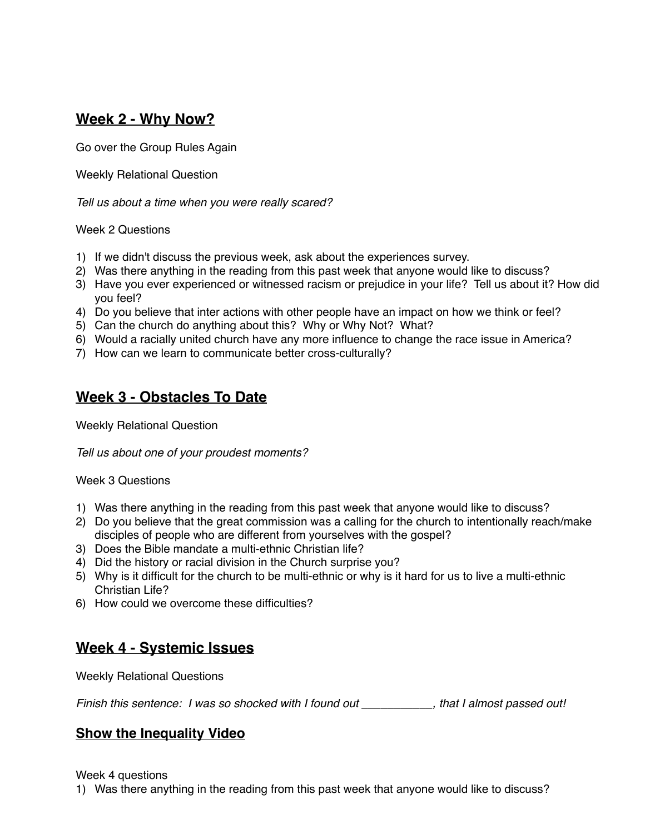## **Week 2 - Why Now?**

Go over the Group Rules Again

Weekly Relational Question

*Tell us about a time when you were really scared?*

#### Week 2 Questions

- 1) If we didn't discuss the previous week, ask about the experiences survey.
- 2) Was there anything in the reading from this past week that anyone would like to discuss?
- 3) Have you ever experienced or witnessed racism or prejudice in your life? Tell us about it? How did you feel?
- 4) Do you believe that inter actions with other people have an impact on how we think or feel?
- 5) Can the church do anything about this? Why or Why Not? What?
- 6) Would a racially united church have any more influence to change the race issue in America?
- 7) How can we learn to communicate better cross-culturally?

## **Week 3 - Obstacles To Date**

Weekly Relational Question

*Tell us about one of your proudest moments?*

#### Week 3 Questions

- 1) Was there anything in the reading from this past week that anyone would like to discuss?
- 2) Do you believe that the great commission was a calling for the church to intentionally reach/make disciples of people who are different from yourselves with the gospel?
- 3) Does the Bible mandate a multi-ethnic Christian life?
- 4) Did the history or racial division in the Church surprise you?
- 5) Why is it difficult for the church to be multi-ethnic or why is it hard for us to live a multi-ethnic Christian Life?
- 6) How could we overcome these difficulties?

## **Week 4 - Systemic Issues**

Weekly Relational Questions

*Finish this sentence: I was so shocked with I found out \_\_\_\_\_\_\_\_\_\_\_, that I almost passed out!*

### **Show the Inequality Video**

Week 4 questions

1) Was there anything in the reading from this past week that anyone would like to discuss?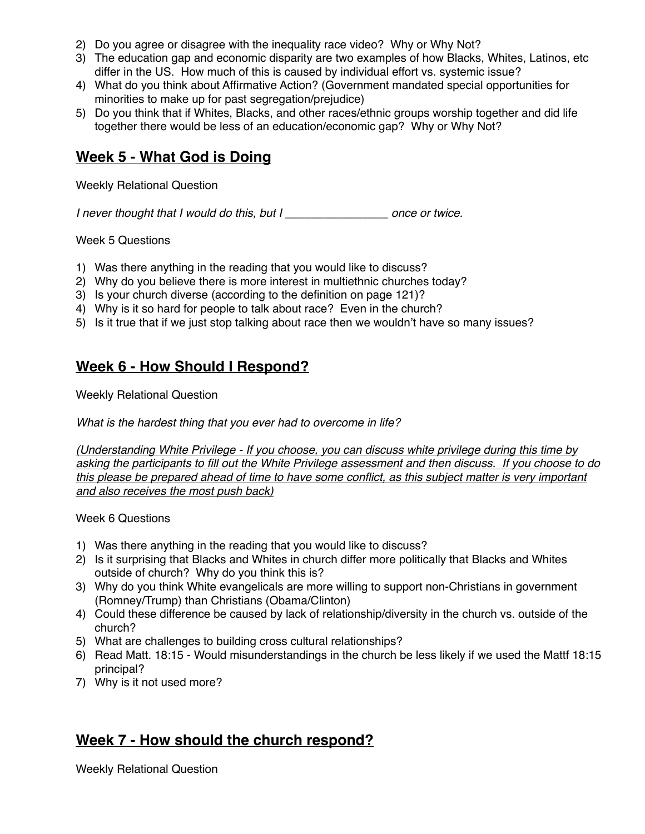- 2) Do you agree or disagree with the inequality race video? Why or Why Not?
- 3) The education gap and economic disparity are two examples of how Blacks, Whites, Latinos, etc differ in the US. How much of this is caused by individual effort vs. systemic issue?
- 4) What do you think about Affirmative Action? (Government mandated special opportunities for minorities to make up for past segregation/prejudice)
- 5) Do you think that if Whites, Blacks, and other races/ethnic groups worship together and did life together there would be less of an education/economic gap? Why or Why Not?

### **Week 5 - What God is Doing**

Weekly Relational Question

*I never thought that I would do this, but I \_\_\_\_\_\_\_\_\_\_\_\_\_\_\_\_ once or twice.*

Week 5 Questions

- 1) Was there anything in the reading that you would like to discuss?
- 2) Why do you believe there is more interest in multiethnic churches today?
- 3) Is your church diverse (according to the definition on page 121)?
- 4) Why is it so hard for people to talk about race? Even in the church?
- 5) Is it true that if we just stop talking about race then we wouldn't have so many issues?

## **Week 6 - How Should I Respond?**

Weekly Relational Question

*What is the hardest thing that you ever had to overcome in life?*

*(Understanding White Privilege - If you choose, you can discuss white privilege during this time by asking the participants to fill out the White Privilege assessment and then discuss. If you choose to do this please be prepared ahead of time to have some conflict, as this subject matter is very important and also receives the most push back)*

Week 6 Questions

- 1) Was there anything in the reading that you would like to discuss?
- 2) Is it surprising that Blacks and Whites in church differ more politically that Blacks and Whites outside of church? Why do you think this is?
- 3) Why do you think White evangelicals are more willing to support non-Christians in government (Romney/Trump) than Christians (Obama/Clinton)
- 4) Could these difference be caused by lack of relationship/diversity in the church vs. outside of the church?
- 5) What are challenges to building cross cultural relationships?
- 6) Read Matt. 18:15 Would misunderstandings in the church be less likely if we used the Mattf 18:15 principal?
- 7) Why is it not used more?

### **Week 7 - How should the church respond?**

Weekly Relational Question